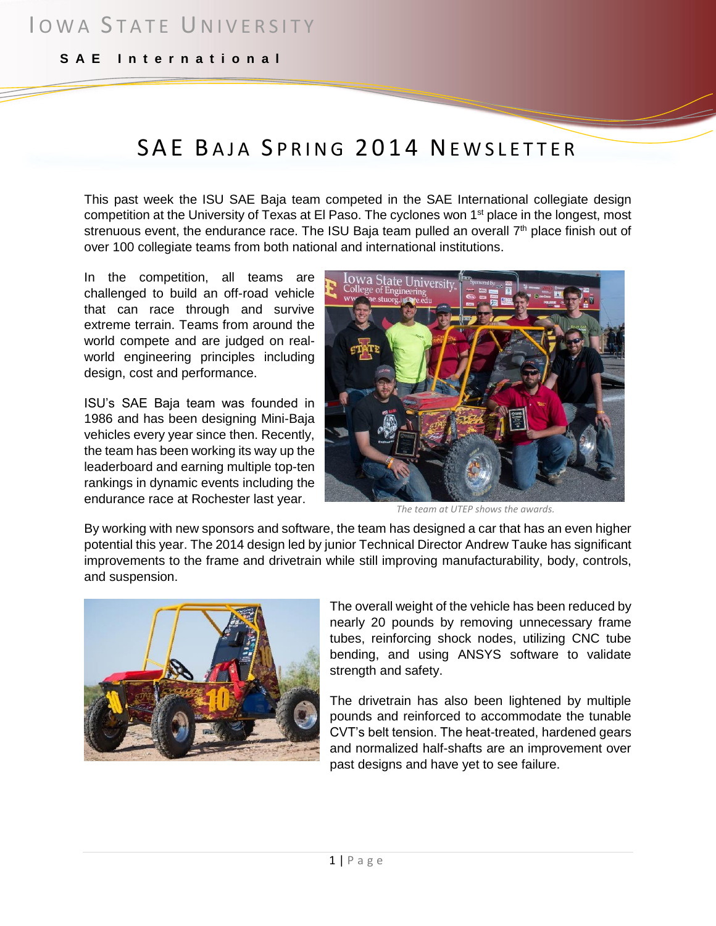**S A E I n t e r n a t i o n a l**

# SAE BAJA SPRING 2014 NEWSLETTER

This past week the ISU SAE Baja team competed in the SAE International collegiate design competition at the University of Texas at El Paso. The cyclones won 1<sup>st</sup> place in the longest, most strenuous event, the endurance race. The ISU Baja team pulled an overall  $7<sup>th</sup>$  place finish out of over 100 collegiate teams from both national and international institutions.

In the competition, all teams are challenged to build an off-road vehicle that can race through and survive extreme terrain. Teams from around the world compete and are judged on realworld engineering principles including design, cost and performance.

ISU's SAE Baja team was founded in 1986 and has been designing Mini-Baja vehicles every year since then. Recently, the team has been working its way up the leaderboard and earning multiple top-ten rankings in dynamic events including the endurance race at Rochester last year.



*The team at UTEP shows the awards.*

By working with new sponsors and software, the team has designed a car that has an even higher potential this year. The 2014 design led by junior Technical Director Andrew Tauke has significant improvements to the frame and drivetrain while still improving manufacturability, body, controls, and suspension.



The overall weight of the vehicle has been reduced by nearly 20 pounds by removing unnecessary frame tubes, reinforcing shock nodes, utilizing CNC tube bending, and using ANSYS software to validate strength and safety.

The drivetrain has also been lightened by multiple pounds and reinforced to accommodate the tunable CVT's belt tension. The heat-treated, hardened gears and normalized half-shafts are an improvement over past designs and have yet to see failure.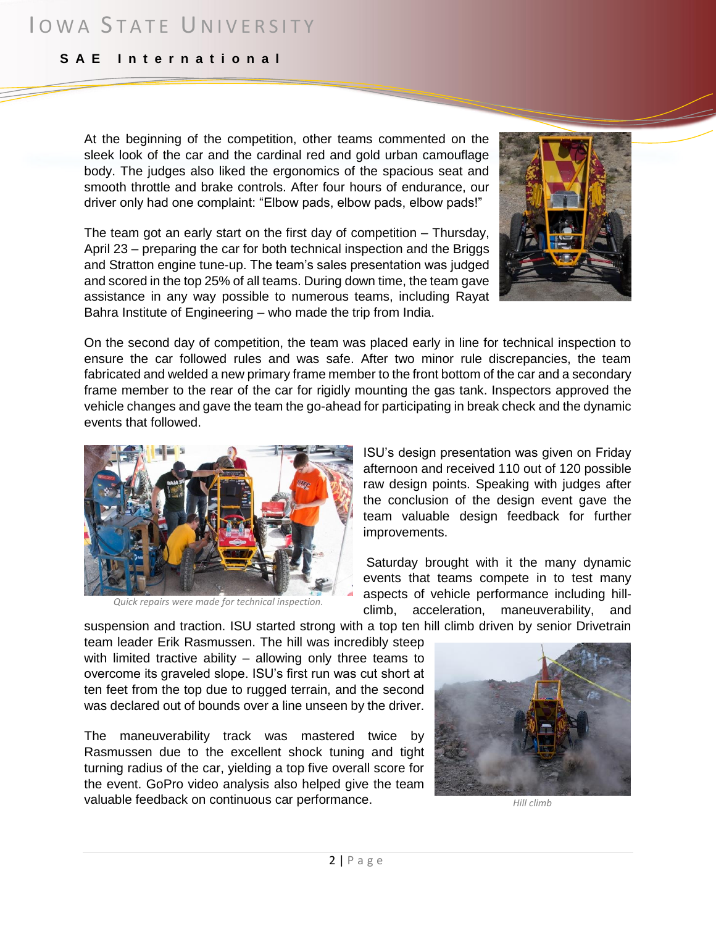## IOWA STATE UNIVERSITY

#### **S A E I n t e r n a t i o n a l**

At the beginning of the competition, other teams commented on the sleek look of the car and the cardinal red and gold urban camouflage body. The judges also liked the ergonomics of the spacious seat and smooth throttle and brake controls. After four hours of endurance, our driver only had one complaint: "Elbow pads, elbow pads, elbow pads!"

The team got an early start on the first day of competition – Thursday, April 23 – preparing the car for both technical inspection and the Briggs and Stratton engine tune-up. The team's sales presentation was judged and scored in the top 25% of all teams. During down time, the team gave assistance in any way possible to numerous teams, including Rayat Bahra Institute of Engineering – who made the trip from India.

On the second day of competition, the team was placed early in line for technical inspection to ensure the car followed rules and was safe. After two minor rule discrepancies, the team fabricated and welded a new primary frame member to the front bottom of the car and a secondary frame member to the rear of the car for rigidly mounting the gas tank. Inspectors approved the vehicle changes and gave the team the go-ahead for participating in break check and the dynamic events that followed.



*Quick repairs were made for technical inspection.*

ISU's design presentation was given on Friday afternoon and received 110 out of 120 possible raw design points. Speaking with judges after the conclusion of the design event gave the team valuable design feedback for further improvements.

Saturday brought with it the many dynamic events that teams compete in to test many aspects of vehicle performance including hillclimb, acceleration, maneuverability, and

suspension and traction. ISU started strong with a top ten hill climb driven by senior Drivetrain

team leader Erik Rasmussen. The hill was incredibly steep with limited tractive ability – allowing only three teams to overcome its graveled slope. ISU's first run was cut short at ten feet from the top due to rugged terrain, and the second was declared out of bounds over a line unseen by the driver.

The maneuverability track was mastered twice by Rasmussen due to the excellent shock tuning and tight turning radius of the car, yielding a top five overall score for the event. GoPro video analysis also helped give the team valuable feedback on continuous car performance.



*Hill climb*